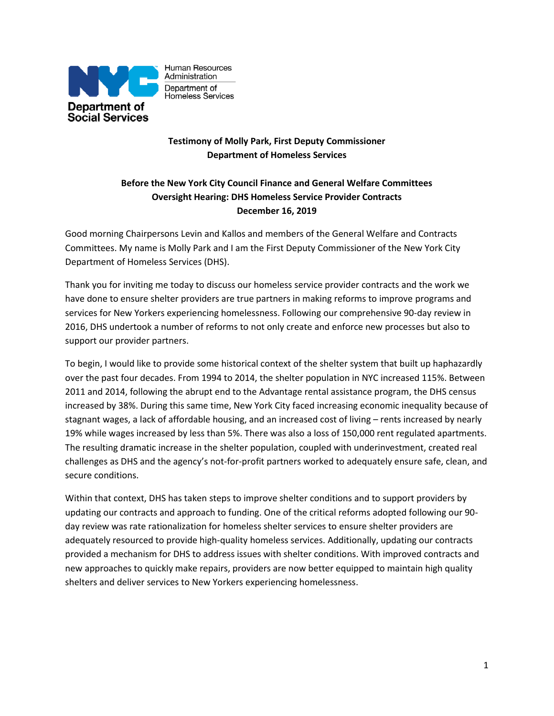

Human Resources Administration Department of Homeless Services

## **Testimony of Molly Park, First Deputy Commissioner Department of Homeless Services**

# **Before the New York City Council Finance and General Welfare Committees Oversight Hearing: DHS Homeless Service Provider Contracts December 16, 2019**

Good morning Chairpersons Levin and Kallos and members of the General Welfare and Contracts Committees. My name is Molly Park and I am the First Deputy Commissioner of the New York City Department of Homeless Services (DHS).

Thank you for inviting me today to discuss our homeless service provider contracts and the work we have done to ensure shelter providers are true partners in making reforms to improve programs and services for New Yorkers experiencing homelessness. Following our comprehensive 90-day review in 2016, DHS undertook a number of reforms to not only create and enforce new processes but also to support our provider partners.

To begin, I would like to provide some historical context of the shelter system that built up haphazardly over the past four decades. From 1994 to 2014, the shelter population in NYC increased 115%. Between 2011 and 2014, following the abrupt end to the Advantage rental assistance program, the DHS census increased by 38%. During this same time, New York City faced increasing economic inequality because of stagnant wages, a lack of affordable housing, and an increased cost of living – rents increased by nearly 19% while wages increased by less than 5%. There was also a loss of 150,000 rent regulated apartments. The resulting dramatic increase in the shelter population, coupled with underinvestment, created real challenges as DHS and the agency's not-for-profit partners worked to adequately ensure safe, clean, and secure conditions.

Within that context, DHS has taken steps to improve shelter conditions and to support providers by updating our contracts and approach to funding. One of the critical reforms adopted following our 90 day review was rate rationalization for homeless shelter services to ensure shelter providers are adequately resourced to provide high-quality homeless services. Additionally, updating our contracts provided a mechanism for DHS to address issues with shelter conditions. With improved contracts and new approaches to quickly make repairs, providers are now better equipped to maintain high quality shelters and deliver services to New Yorkers experiencing homelessness.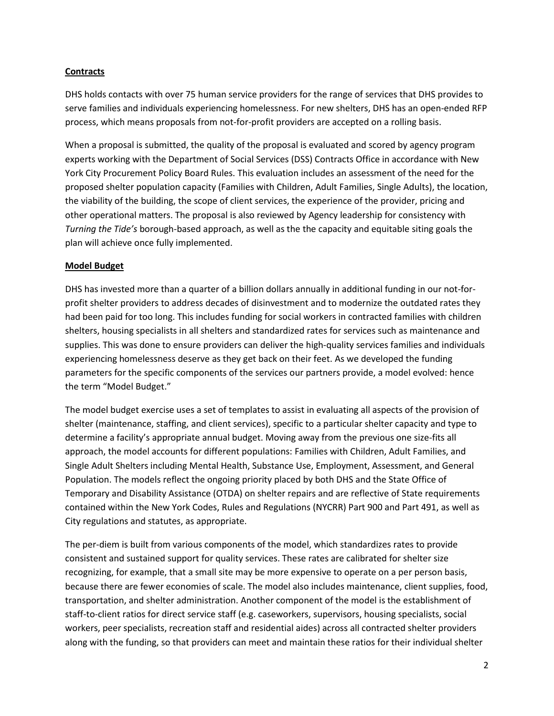#### **Contracts**

DHS holds contacts with over 75 human service providers for the range of services that DHS provides to serve families and individuals experiencing homelessness. For new shelters, DHS has an open-ended RFP process, which means proposals from not-for-profit providers are accepted on a rolling basis.

When a proposal is submitted, the quality of the proposal is evaluated and scored by agency program experts working with the Department of Social Services (DSS) Contracts Office in accordance with New York City Procurement Policy Board Rules. This evaluation includes an assessment of the need for the proposed shelter population capacity (Families with Children, Adult Families, Single Adults), the location, the viability of the building, the scope of client services, the experience of the provider, pricing and other operational matters. The proposal is also reviewed by Agency leadership for consistency with *Turning the Tide's* borough-based approach, as well as the the capacity and equitable siting goals the plan will achieve once fully implemented.

## **Model Budget**

DHS has invested more than a quarter of a billion dollars annually in additional funding in our not-forprofit shelter providers to address decades of disinvestment and to modernize the outdated rates they had been paid for too long. This includes funding for social workers in contracted families with children shelters, housing specialists in all shelters and standardized rates for services such as maintenance and supplies. This was done to ensure providers can deliver the high-quality services families and individuals experiencing homelessness deserve as they get back on their feet. As we developed the funding parameters for the specific components of the services our partners provide, a model evolved: hence the term "Model Budget."

The model budget exercise uses a set of templates to assist in evaluating all aspects of the provision of shelter (maintenance, staffing, and client services), specific to a particular shelter capacity and type to determine a facility's appropriate annual budget. Moving away from the previous one size-fits all approach, the model accounts for different populations: Families with Children, Adult Families, and Single Adult Shelters including Mental Health, Substance Use, Employment, Assessment, and General Population. The models reflect the ongoing priority placed by both DHS and the State Office of Temporary and Disability Assistance (OTDA) on shelter repairs and are reflective of State requirements contained within the New York Codes, Rules and Regulations (NYCRR) Part 900 and Part 491, as well as City regulations and statutes, as appropriate.

The per-diem is built from various components of the model, which standardizes rates to provide consistent and sustained support for quality services. These rates are calibrated for shelter size recognizing, for example, that a small site may be more expensive to operate on a per person basis, because there are fewer economies of scale. The model also includes maintenance, client supplies, food, transportation, and shelter administration. Another component of the model is the establishment of staff-to-client ratios for direct service staff (e.g. caseworkers, supervisors, housing specialists, social workers, peer specialists, recreation staff and residential aides) across all contracted shelter providers along with the funding, so that providers can meet and maintain these ratios for their individual shelter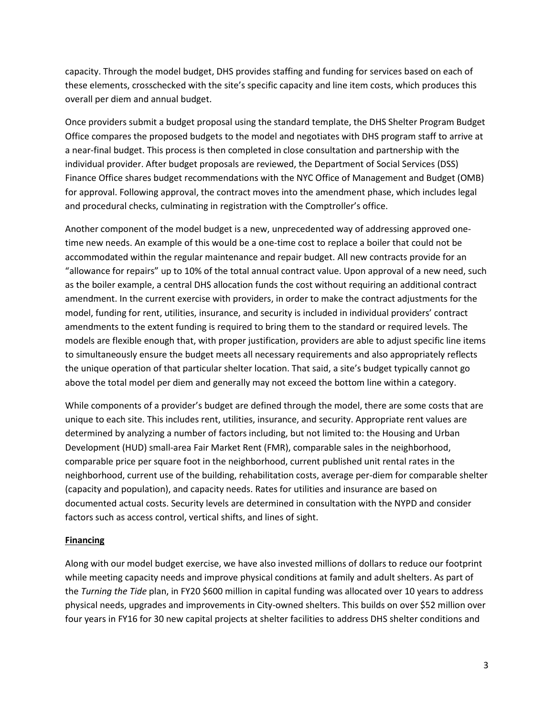capacity. Through the model budget, DHS provides staffing and funding for services based on each of these elements, crosschecked with the site's specific capacity and line item costs, which produces this overall per diem and annual budget.

Once providers submit a budget proposal using the standard template, the DHS Shelter Program Budget Office compares the proposed budgets to the model and negotiates with DHS program staff to arrive at a near-final budget. This process is then completed in close consultation and partnership with the individual provider. After budget proposals are reviewed, the Department of Social Services (DSS) Finance Office shares budget recommendations with the NYC Office of Management and Budget (OMB) for approval. Following approval, the contract moves into the amendment phase, which includes legal and procedural checks, culminating in registration with the Comptroller's office.

Another component of the model budget is a new, unprecedented way of addressing approved onetime new needs. An example of this would be a one-time cost to replace a boiler that could not be accommodated within the regular maintenance and repair budget. All new contracts provide for an "allowance for repairs" up to 10% of the total annual contract value. Upon approval of a new need, such as the boiler example, a central DHS allocation funds the cost without requiring an additional contract amendment. In the current exercise with providers, in order to make the contract adjustments for the model, funding for rent, utilities, insurance, and security is included in individual providers' contract amendments to the extent funding is required to bring them to the standard or required levels. The models are flexible enough that, with proper justification, providers are able to adjust specific line items to simultaneously ensure the budget meets all necessary requirements and also appropriately reflects the unique operation of that particular shelter location. That said, a site's budget typically cannot go above the total model per diem and generally may not exceed the bottom line within a category.

While components of a provider's budget are defined through the model, there are some costs that are unique to each site. This includes rent, utilities, insurance, and security. Appropriate rent values are determined by analyzing a number of factors including, but not limited to: the Housing and Urban Development (HUD) small-area Fair Market Rent (FMR), comparable sales in the neighborhood, comparable price per square foot in the neighborhood, current published unit rental rates in the neighborhood, current use of the building, rehabilitation costs, average per-diem for comparable shelter (capacity and population), and capacity needs. Rates for utilities and insurance are based on documented actual costs. Security levels are determined in consultation with the NYPD and consider factors such as access control, vertical shifts, and lines of sight.

#### **Financing**

Along with our model budget exercise, we have also invested millions of dollars to reduce our footprint while meeting capacity needs and improve physical conditions at family and adult shelters. As part of the *Turning the Tide* plan, in FY20 \$600 million in capital funding was allocated over 10 years to address physical needs, upgrades and improvements in City-owned shelters. This builds on over \$52 million over four years in FY16 for 30 new capital projects at shelter facilities to address DHS shelter conditions and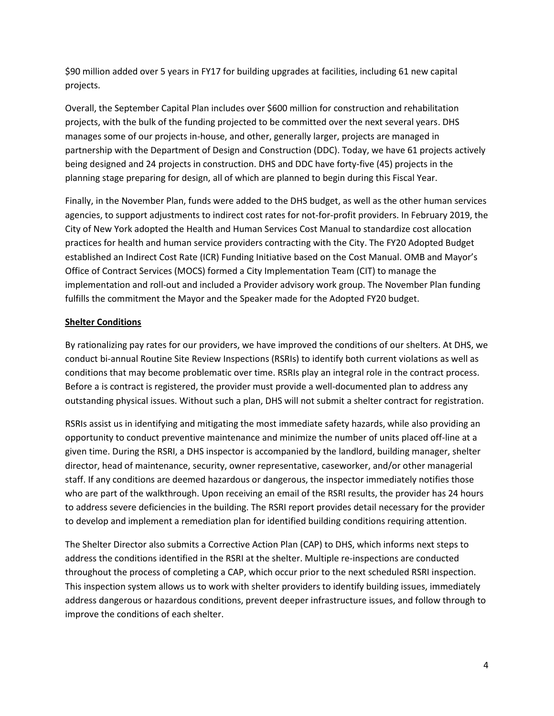\$90 million added over 5 years in FY17 for building upgrades at facilities, including 61 new capital projects.

Overall, the September Capital Plan includes over \$600 million for construction and rehabilitation projects, with the bulk of the funding projected to be committed over the next several years. DHS manages some of our projects in-house, and other, generally larger, projects are managed in partnership with the Department of Design and Construction (DDC). Today, we have 61 projects actively being designed and 24 projects in construction. DHS and DDC have forty-five (45) projects in the planning stage preparing for design, all of which are planned to begin during this Fiscal Year.

Finally, in the November Plan, funds were added to the DHS budget, as well as the other human services agencies, to support adjustments to indirect cost rates for not-for-profit providers. In February 2019, the City of New York adopted the Health and Human Services Cost Manual to standardize cost allocation practices for health and human service providers contracting with the City. The FY20 Adopted Budget established an Indirect Cost Rate (ICR) Funding Initiative based on the Cost Manual. OMB and Mayor's Office of Contract Services (MOCS) formed a City Implementation Team (CIT) to manage the implementation and roll-out and included a Provider advisory work group. The November Plan funding fulfills the commitment the Mayor and the Speaker made for the Adopted FY20 budget.

## **Shelter Conditions**

By rationalizing pay rates for our providers, we have improved the conditions of our shelters. At DHS, we conduct bi-annual Routine Site Review Inspections (RSRIs) to identify both current violations as well as conditions that may become problematic over time. RSRIs play an integral role in the contract process. Before a is contract is registered, the provider must provide a well-documented plan to address any outstanding physical issues. Without such a plan, DHS will not submit a shelter contract for registration.

RSRIs assist us in identifying and mitigating the most immediate safety hazards, while also providing an opportunity to conduct preventive maintenance and minimize the number of units placed off-line at a given time. During the RSRI, a DHS inspector is accompanied by the landlord, building manager, shelter director, head of maintenance, security, owner representative, caseworker, and/or other managerial staff. If any conditions are deemed hazardous or dangerous, the inspector immediately notifies those who are part of the walkthrough. Upon receiving an email of the RSRI results, the provider has 24 hours to address severe deficiencies in the building. The RSRI report provides detail necessary for the provider to develop and implement a remediation plan for identified building conditions requiring attention.

The Shelter Director also submits a Corrective Action Plan (CAP) to DHS, which informs next steps to address the conditions identified in the RSRI at the shelter. Multiple re-inspections are conducted throughout the process of completing a CAP, which occur prior to the next scheduled RSRI inspection. This inspection system allows us to work with shelter providers to identify building issues, immediately address dangerous or hazardous conditions, prevent deeper infrastructure issues, and follow through to improve the conditions of each shelter.